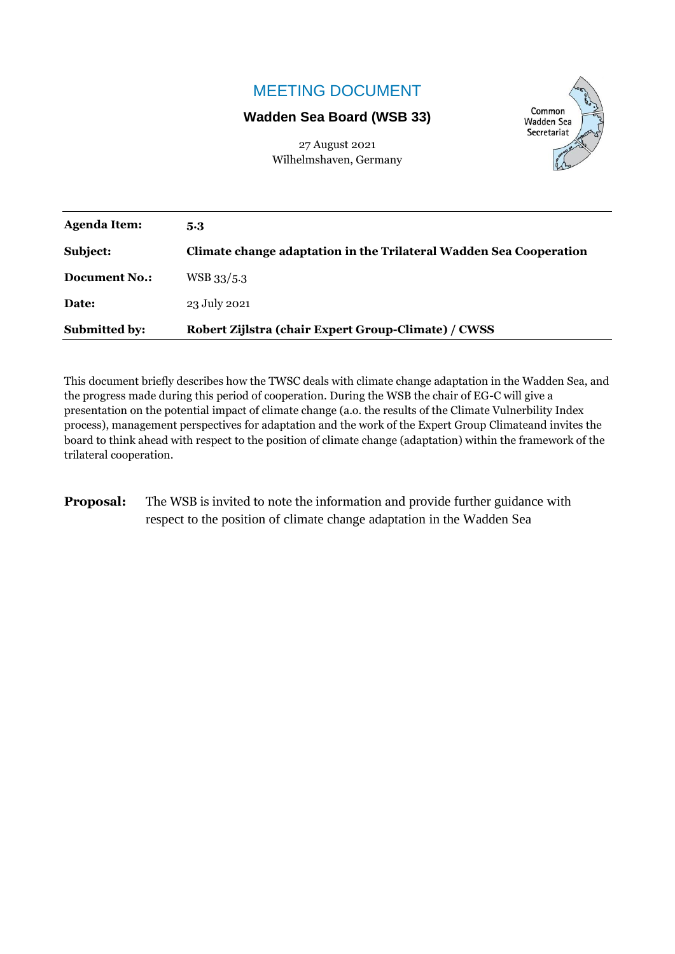## MEETING DOCUMENT

### **Wadden Sea Board (WSB 33)**

Common **Wadden Sea** Secretariat

27 August 2021 Wilhelmshaven, Germany

| <b>Agenda Item:</b>  | 5.3                                                                |
|----------------------|--------------------------------------------------------------------|
| Subject:             | Climate change adaptation in the Trilateral Wadden Sea Cooperation |
| <b>Document No.:</b> | WSB 33/5.3                                                         |
| Date:                | 23 July 2021                                                       |
| <b>Submitted by:</b> | Robert Zijlstra (chair Expert Group-Climate) / CWSS                |

This document briefly describes how the TWSC deals with climate change adaptation in the Wadden Sea, and the progress made during this period of cooperation. During the WSB the chair of EG-C will give a presentation on the potential impact of climate change (a.o. the results of the Climate Vulnerbility Index process), management perspectives for adaptation and the work of the Expert Group Climateand invites the board to think ahead with respect to the position of climate change (adaptation) within the framework of the trilateral cooperation.

**Proposal:** The WSB is invited to note the information and provide further guidance with respect to the position of climate change adaptation in the Wadden Sea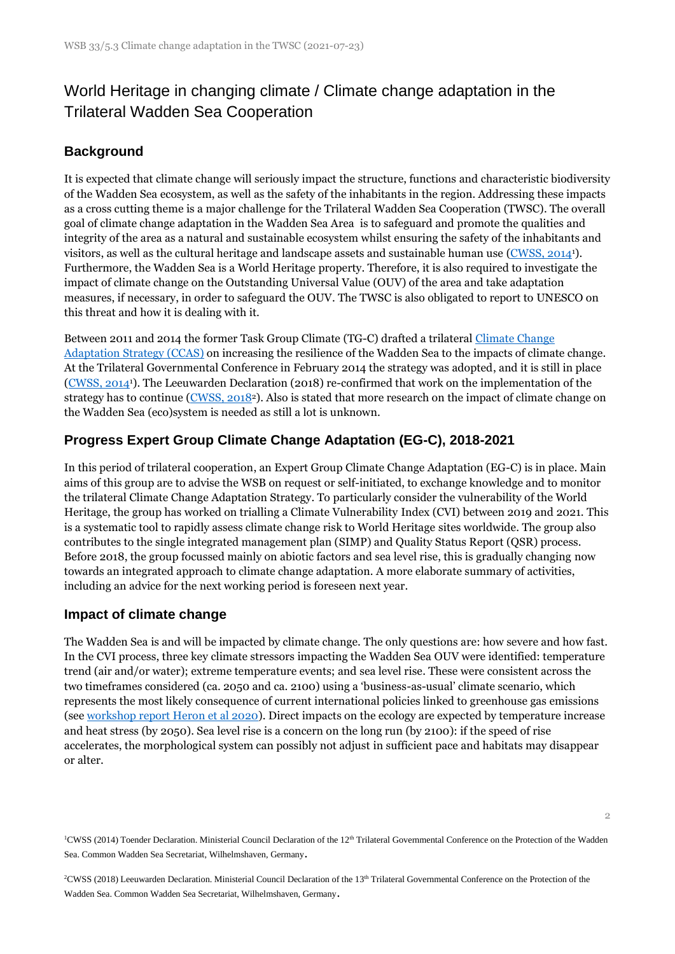# World Heritage in changing climate / Climate change adaptation in the Trilateral Wadden Sea Cooperation

## **Background**

It is expected that climate change will seriously impact the structure, functions and characteristic biodiversity of the Wadden Sea ecosystem, as well as the safety of the inhabitants in the region. Addressing these impacts as a cross cutting theme is a major challenge for the Trilateral Wadden Sea Cooperation (TWSC). The overall goal of climate change adaptation in the Wadden Sea Area is to safeguard and promote the qualities and integrity of the area as a natural and sustainable ecosystem whilst ensuring the safety of the inhabitants and visitors, as well as the cultural heritage and landscape assets and sustainable human use [\(CWSS, 2014](https://www.waddensea-worldheritage.org/resources/2014-t%C3%B8nder-declaration)1). Furthermore, the Wadden Sea is a World Heritage property. Therefore, it is also required to investigate the impact of climate change on the Outstanding Universal Value (OUV) of the area and take adaptation measures, if necessary, in order to safeguard the OUV. The TWSC is also obligated to report to UNESCO on this threat and how it is dealing with it.

Between 2011 and 2014 the former Task Group Climate (TG-C) drafted a trilateral [Climate Change](https://waddensea-worldheritage.org/CCAS)  Adaptation [Strategy \(CCAS\)](https://waddensea-worldheritage.org/CCAS) on increasing the resilience of the Wadden Sea to the impacts of climate change. At the Trilateral Governmental Conference in February 2014 the strategy was adopted, and it is still in place [\(CWSS, 2014](https://www.waddensea-worldheritage.org/resources/2014-t%C3%B8nder-declaration)1). The Leeuwarden Declaration (2018) re-confirmed that work on the implementation of the strategy has to continue [\(CWSS, 2018](https://www.waddensea-worldheritage.org/resources/2018-leeuwarden-declaration)2). Also is stated that more research on the impact of climate change on the Wadden Sea (eco)system is needed as still a lot is unknown.

## **Progress Expert Group Climate Change Adaptation (EG-C), 2018-2021**

In this period of trilateral cooperation, an Expert Group Climate Change Adaptation (EG-C) is in place. Main aims of this group are to advise the WSB on request or self-initiated, to exchange knowledge and to monitor the trilateral Climate Change Adaptation Strategy. To particularly consider the vulnerability of the World Heritage, the group has worked on trialling a Climate Vulnerability Index (CVI) between 2019 and 2021. This is a systematic tool to rapidly assess climate change risk to World Heritage sites worldwide. The group also contributes to the single integrated management plan (SIMP) and Quality Status Report (QSR) process. Before 2018, the group focussed mainly on abiotic factors and sea level rise, this is gradually changing now towards an integrated approach to climate change adaptation. A more elaborate summary of activities, including an advice for the next working period is foreseen next year.

#### **Impact of climate change**

The Wadden Sea is and will be impacted by climate change. The only questions are: how severe and how fast. In the CVI process, three key climate stressors impacting the Wadden Sea OUV were identified: temperature trend (air and/or water); extreme temperature events; and sea level rise. These were consistent across the two timeframes considered (ca. 2050 and ca. 2100) using a 'business-as-usual' climate scenario, which represents the most likely consequence of current international policies linked to greenhouse gas emissions (see [workshop report Heron et al 2020\)](https://www.waddensea-worldheritage.org/resources/2020-cvi-report). Direct impacts on the ecology are expected by temperature increase and heat stress (by 2050). Sea level rise is a concern on the long run (by 2100): if the speed of rise accelerates, the morphological system can possibly not adjust in sufficient pace and habitats may disappear or alter.

<sup>1</sup>CWSS (2014) Toender Declaration. Ministerial Council Declaration of the 12<sup>th</sup> Trilateral Governmental Conference on the Protection of the Wadden Sea. Common Wadden Sea Secretariat, Wilhelmshaven, Germany.

<sup>2</sup>CWSS (2018) Leeuwarden Declaration. Ministerial Council Declaration of the 13<sup>th</sup> Trilateral Governmental Conference on the Protection of the Wadden Sea. Common Wadden Sea Secretariat, Wilhelmshaven, Germany.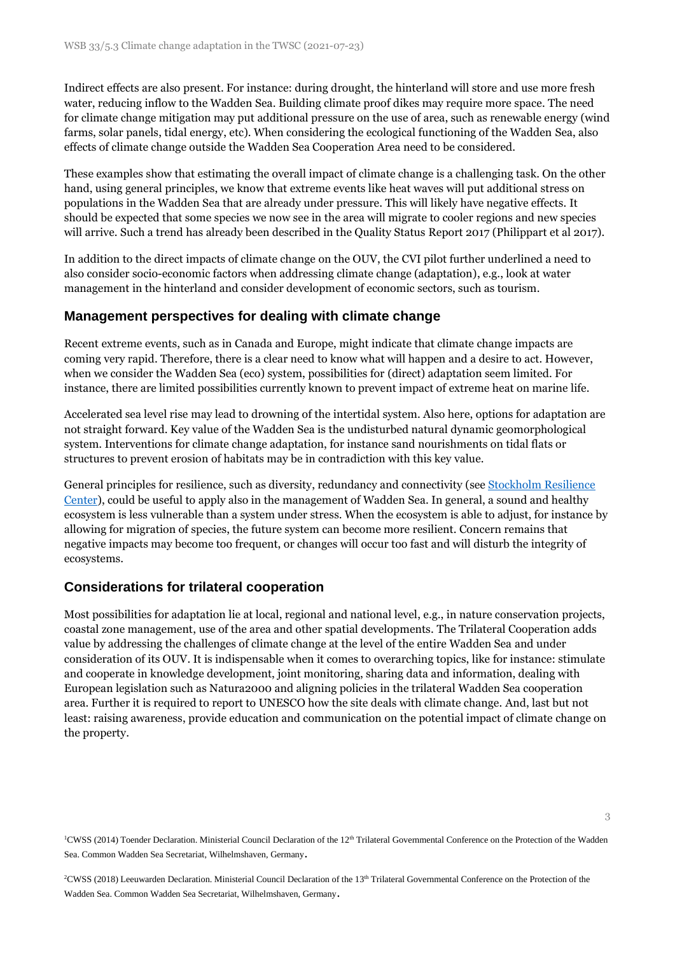Indirect effects are also present. For instance: during drought, the hinterland will store and use more fresh water, reducing inflow to the Wadden Sea. Building climate proof dikes may require more space. The need for climate change mitigation may put additional pressure on the use of area, such as renewable energy (wind farms, solar panels, tidal energy, etc). When considering the ecological functioning of the Wadden Sea, also effects of climate change outside the Wadden Sea Cooperation Area need to be considered.

These examples show that estimating the overall impact of climate change is a challenging task. On the other hand, using general principles, we know that extreme events like heat waves will put additional stress on populations in the Wadden Sea that are already under pressure. This will likely have negative effects. It should be expected that some species we now see in the area will migrate to cooler regions and new species will arrive. Such a trend has already been described in the Quality Status Report 2017 (Philippart et al 2017).

In addition to the direct impacts of climate change on the OUV, the CVI pilot further underlined a need to also consider socio-economic factors when addressing climate change (adaptation), e.g., look at water management in the hinterland and consider development of economic sectors, such as tourism.

#### **Management perspectives for dealing with climate change**

Recent extreme events, such as in Canada and Europe, might indicate that climate change impacts are coming very rapid. Therefore, there is a clear need to know what will happen and a desire to act. However, when we consider the Wadden Sea (eco) system, possibilities for (direct) adaptation seem limited. For instance, there are limited possibilities currently known to prevent impact of extreme heat on marine life.

Accelerated sea level rise may lead to drowning of the intertidal system. Also here, options for adaptation are not straight forward. Key value of the Wadden Sea is the undisturbed natural dynamic geomorphological system. Interventions for climate change adaptation, for instance sand nourishments on tidal flats or structures to prevent erosion of habitats may be in contradiction with this key value.

General principles for resilience, such as diversity, redundancy and connectivity (see [Stockholm Resilience](https://www.stockholmresilience.org/)  [Center\)](https://www.stockholmresilience.org/), could be useful to apply also in the management of Wadden Sea. In general, a sound and healthy ecosystem is less vulnerable than a system under stress. When the ecosystem is able to adjust, for instance by allowing for migration of species, the future system can become more resilient. Concern remains that negative impacts may become too frequent, or changes will occur too fast and will disturb the integrity of ecosystems.

#### **Considerations for trilateral cooperation**

Most possibilities for adaptation lie at local, regional and national level, e.g., in nature conservation projects, coastal zone management, use of the area and other spatial developments. The Trilateral Cooperation adds value by addressing the challenges of climate change at the level of the entire Wadden Sea and under consideration of its OUV. It is indispensable when it comes to overarching topics, like for instance: stimulate and cooperate in knowledge development, joint monitoring, sharing data and information, dealing with European legislation such as Natura2000 and aligning policies in the trilateral Wadden Sea cooperation area. Further it is required to report to UNESCO how the site deals with climate change. And, last but not least: raising awareness, provide education and communication on the potential impact of climate change on the property.

<sup>1</sup>CWSS (2014) Toender Declaration. Ministerial Council Declaration of the 12<sup>th</sup> Trilateral Governmental Conference on the Protection of the Wadden Sea. Common Wadden Sea Secretariat, Wilhelmshaven, Germany.

<sup>2</sup>CWSS (2018) Leeuwarden Declaration. Ministerial Council Declaration of the 13<sup>th</sup> Trilateral Governmental Conference on the Protection of the Wadden Sea. Common Wadden Sea Secretariat, Wilhelmshaven, Germany.